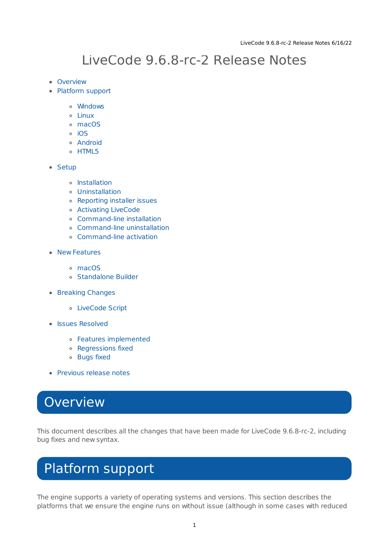# LiveCode 9.6.8-rc-2 Release Notes

- [Overview](#page-0-0)
- [Platform](#page-0-1) support
	- [Windows](#page-1-0)
	- [Linux](#page-1-1)
	- [macOS](#page-1-2)
	- $\circ$  [iOS](#page-2-0)
	- [Android](#page-3-0)
	- o [HTML5](#page-3-1)
- [Setup](#page-3-2)
	- o [Installation](#page-3-3)
	- [Uninstallation](#page-4-0)
	- [Reporting](#page-4-1) installer issues
	- [Activating](#page-5-0) LiveCode
	- [Command-line](#page-5-1) installation
	- [Command-line](#page-6-0) uninstallation
	- [Command-line](#page-6-1) activation
- New [Features](#page-7-0)
	- [macOS](#page-1-2)
	- [Standalone](#page-7-1) Builder
- [Breaking](#page-8-0) Changes
	- [LiveCode](#page-8-1) Script
- Issues [Resolved](#page-8-2)
	- Features [implemented](#page-8-3)
	- [Regressions](#page-8-4) fixed
	- [Bugs](#page-9-0) fixed
- [Previous](#page-10-0) release notes

## <span id="page-0-0"></span>**Overview**

This document describes all the changes that have been made for LiveCode 9.6.8-rc-2, including bug fixes and new syntax.

# <span id="page-0-1"></span>Platform support

The engine supports a variety of operating systems and versions. This section describes the platforms that we ensure the engine runs on without issue (although in some cases with reduced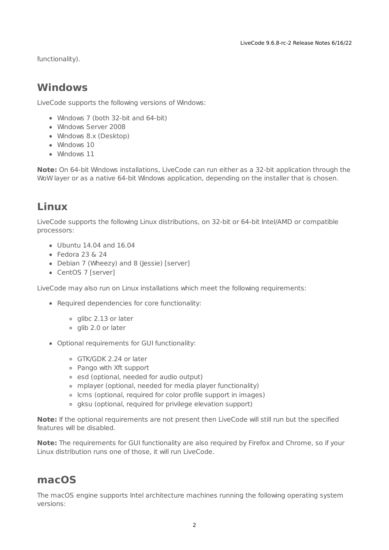functionality).

## <span id="page-1-0"></span>**Windows**

LiveCode supports the following versions of Windows:

- Windows 7 (both 32-bit and 64-bit)
- Windows Server 2008
- Windows 8.x (Desktop)
- Windows 10
- Windows 11

**Note:** On 64-bit Windows installations, LiveCode can run either as a 32-bit application through the WoW layer or as a native 64-bit Windows application, depending on the installer that is chosen.

## <span id="page-1-1"></span>**Linux**

LiveCode supports the following Linux distributions, on 32-bit or 64-bit Intel/AMD or compatible processors:

- Ubuntu 14.04 and 16.04
- $\bullet$  Fedora 23 & 24
- Debian 7 (Wheezy) and 8 (Jessie) [server]
- CentOS 7 [server]

LiveCode may also run on Linux installations which meet the following requirements:

- Required dependencies for core functionality:
	- o glibc 2.13 or later
	- glib 2.0 or later
- Optional requirements for GUI functionality:
	- GTK/GDK 2.24 or later
	- Pango with Xft support
	- esd (optional, needed for audio output)
	- mplayer (optional, needed for media player functionality)
	- lcms (optional, required for color profile support in images)
	- gksu (optional, required for privilege elevation support)

**Note:** If the optional requirements are not present then LiveCode will still run but the specified features will be disabled.

**Note:** The requirements for GUI functionality are also required by Firefox and Chrome, so if your Linux distribution runs one of those, it will run LiveCode.

#### <span id="page-1-2"></span>**macOS**

The macOS engine supports Intel architecture machines running the following operating system versions: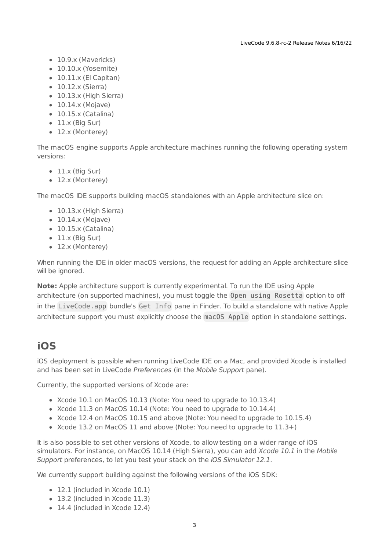- 10.9.x (Mavericks)
- 10.10.x (Yosemite)
- $\bullet$  10.11.x (El Capitan)
- 10.12.x (Sierra)
- 10.13.x (High Sierra)
- $\bullet$  10.14.x (Mojave)
- $\bullet$  10.15.x (Catalina)
- $\bullet$  11.x (Big Sur)
- 12.x (Monterey)

The macOS engine supports Apple architecture machines running the following operating system versions:

- $\bullet$  11.x (Big Sur)
- 12.x (Monterey)

The macOS IDE supports building macOS standalones with an Apple architecture slice on:

- 10.13.x (High Sierra)
- $\bullet$  10.14. $x$  (Mojave)
- $\bullet$  10.15.x (Catalina)
- $\bullet$  11.x (Big Sur)
- 12.x (Monterey)

When running the IDE in older macOS versions, the request for adding an Apple architecture slice will be ignored.

**Note:** Apple architecture support is currently experimental. To run the IDE using Apple architecture (on supported machines), you must toggle the Open using Rosetta option to off in the LiveCode.app bundle's Get Info pane in Finder. To build a standalone with native Apple architecture support you must explicitly choose the macOS Apple option in standalone settings.

#### <span id="page-2-0"></span>**iOS**

iOS deployment is possible when running LiveCode IDE on a Mac, and provided Xcode is installed and has been set in LiveCode Preferences (in the Mobile Support pane).

Currently, the supported versions of Xcode are:

- Xcode 10.1 on MacOS 10.13 (Note: You need to upgrade to 10.13.4)
- Xcode 11.3 on MacOS 10.14 (Note: You need to upgrade to 10.14.4)
- Xcode 12.4 on MacOS 10.15 and above (Note: You need to upgrade to 10.15.4)
- $\bullet$  Xcode 13.2 on MacOS 11 and above (Note: You need to upgrade to  $11.3+)$ )

It is also possible to set other versions of Xcode, to allow testing on a wider range of iOS simulators. For instance, on MacOS 10.14 (High Sierra), you can add Xcode 10.1 in the Mobile Support preferences, to let you test your stack on the iOS Simulator 12.1.

We currently support building against the following versions of the iOS SDK:

- 12.1 (included in Xcode 10.1)
- 13.2 (included in Xcode 11.3)
- 14.4 (included in Xcode 12.4)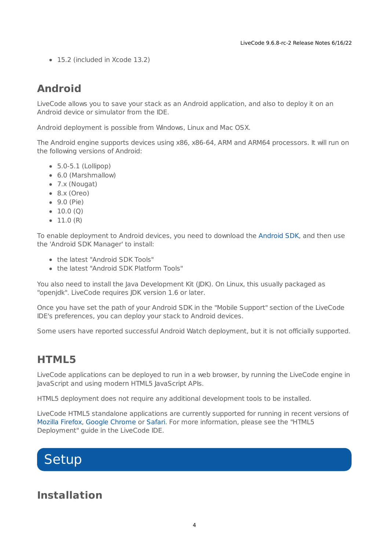• 15.2 (included in Xcode 13.2)

## <span id="page-3-0"></span>**Android**

LiveCode allows you to save your stack as an Android application, and also to deploy it on an Android device or simulator from the IDE.

Android deployment is possible from Windows, Linux and Mac OSX.

The Android engine supports devices using x86, x86-64, ARM and ARM64 processors. It will run on the following versions of Android:

- 5.0-5.1 (Lollipop)
- 6.0 (Marshmallow)
- 7.x (Nougat)
- $\bullet$  8.x (Oreo)
- 9.0 (Pie)
- $\bullet$  10.0 (Q)
- $\bullet$  11.0 (R)

To enable deployment to Android devices, you need to download the [Android](https://developer.android.com/sdk/index.html#Other) SDK, and then use the 'Android SDK Manager' to install:

- the latest "Android SDK Tools"
- the latest "Android SDK Platform Tools"

You also need to install the Java Development Kit (JDK). On Linux, this usually packaged as "openjdk". LiveCode requires JDK version 1.6 or later.

Once you have set the path of your Android SDK in the "Mobile Support" section of the LiveCode IDE's preferences, you can deploy your stack to Android devices.

Some users have reported successful Android Watch deployment, but it is not officially supported.

#### <span id="page-3-1"></span>**HTML5**

LiveCode applications can be deployed to run in a web browser, by running the LiveCode engine in JavaScript and using modern HTML5 JavaScript APIs.

HTML5 deployment does not require any additional development tools to be installed.

LiveCode HTML5 standalone applications are currently supported for running in recent versions of [Mozilla](https://www.mozilla.org/firefox/new/) Firefox, Google [Chrome](https://www.google.com/chrome/) or [Safari](https://support.apple.com/HT204416). For more information, please see the "HTML5 Deployment" guide in the LiveCode IDE.

# <span id="page-3-2"></span>**Setup**

#### <span id="page-3-3"></span>**Installation**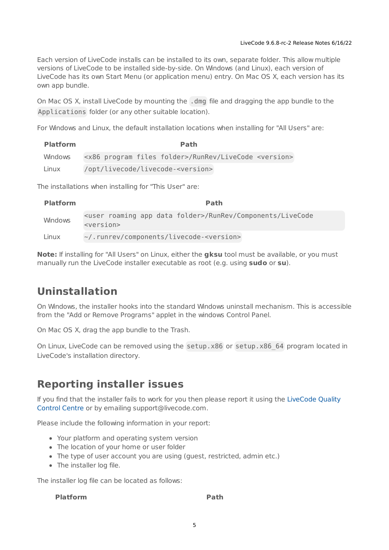Each version of LiveCode installs can be installed to its own, separate folder. This allow multiple versions of LiveCode to be installed side-by-side. On Windows (and Linux), each version of LiveCode has its own Start Menu (or application menu) entry. On Mac OS X, each version has its own app bundle.

On Mac OS X, install LiveCode by mounting the .dmg file and dragging the app bundle to the Applications folder (or any other suitable location).

For Windows and Linux, the default installation locations when installing for "All Users" are:

| <b>Platform</b> |  | <b>Path</b>                                                                   |  |
|-----------------|--|-------------------------------------------------------------------------------|--|
| Windows         |  | <x86 files="" folder="" program="">/RunRev/LiveCode <version></version></x86> |  |
| Linux           |  | /opt/livecode/livecode- <version></version>                                   |  |

The installations when installing for "This User" are:

| <b>Platform</b> | <b>Path</b>                                                                                                                |
|-----------------|----------------------------------------------------------------------------------------------------------------------------|
| Windows         | <user app="" data="" folder="" roaming="">/RunRev/Components/LiveCode<br/><math>&lt;</math>version<math>&gt;</math></user> |
| Linux           | ~/.runrev/components/livecode- <version></version>                                                                         |

**Note:** If installing for "All Users" on Linux, either the **gksu** tool must be available, or you must manually run the LiveCode installer executable as root (e.g. using **sudo** or **su**).

## <span id="page-4-0"></span>**Uninstallation**

On Windows, the installer hooks into the standard Windows uninstall mechanism. This is accessible from the "Add or Remove Programs" applet in the windows Control Panel.

On Mac OS X, drag the app bundle to the Trash.

On Linux, LiveCode can be removed using the setup.x86 or setup.x86 64 program located in LiveCode's installation directory.

## <span id="page-4-1"></span>**Reporting installer issues**

If you find that the installer fails to work for you then please report it using the LiveCode Quality Control Centre or by emailing [support@livecode.com.](http://quality.livecode.com)

Please include the following information in your report:

- Your platform and operating system version
- The location of your home or user folder
- The type of user account you are using (quest, restricted, admin etc.)
- The installer log file.

The installer log file can be located as follows:

#### **Platform Path**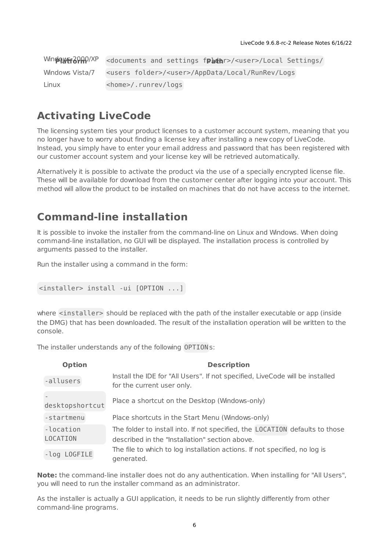|                 | WindowsFiathP/XP <documents and="" frathr="" settings="">/<user>/Local Settings/</user></documents> |
|-----------------|-----------------------------------------------------------------------------------------------------|
| Windows Vista/7 | <users folder="">/<user>/AppData/Local/RunRev/Logs</user></users>                                   |
| Linux           | <home>/.runrev/logs</home>                                                                          |

#### <span id="page-5-0"></span>**Activating LiveCode**

The licensing system ties your product licenses to a customer account system, meaning that you no longer have to worry about finding a license key after installing a new copy of LiveCode. Instead, you simply have to enter your email address and password that has been registered with our customer account system and your license key will be retrieved automatically.

Alternatively it is possible to activate the product via the use of a specially encrypted license file. These will be available for download from the customer center after logging into your account. This method will allow the product to be installed on machines that do not have access to the internet.

#### <span id="page-5-1"></span>**Command-line installation**

It is possible to invoke the installer from the command-line on Linux and Windows. When doing command-line installation, no GUI will be displayed. The installation process is controlled by arguments passed to the installer.

Run the installer using a command in the form:

```
<installer> install -ui [OPTION ...]
```
where <installer> should be replaced with the path of the installer executable or app (inside the DMG) that has been downloaded. The result of the installation operation will be written to the console.

The installer understands any of the following OPTION s:

| <b>Option</b>         | <b>Description</b>                                                                                                             |
|-----------------------|--------------------------------------------------------------------------------------------------------------------------------|
| -allusers             | Install the IDE for "All Users". If not specified, LiveCode will be installed<br>for the current user only.                    |
| desktopshortcut       | Place a shortcut on the Desktop (Windows-only)                                                                                 |
| -startmenu            | Place shortcuts in the Start Menu (Windows-only)                                                                               |
| -location<br>LOCATION | The folder to install into. If not specified, the LOCATION defaults to those<br>described in the "Installation" section above. |
| -log LOGFILE          | The file to which to log installation actions. If not specified, no log is<br>generated.                                       |

**Note:** the command-line installer does not do any authentication. When installing for "All Users", you will need to run the installer command as an administrator.

As the installer is actually a GUI application, it needs to be run slightly differently from other command-line programs.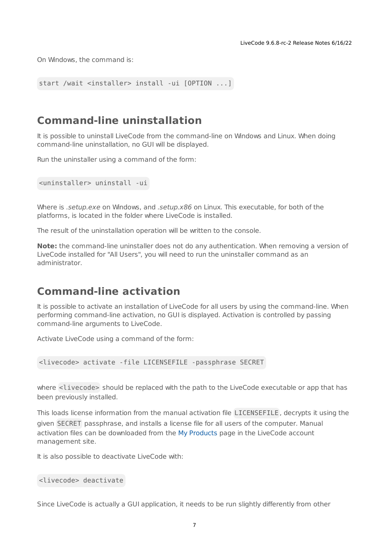On Windows, the command is:

```
start /wait <installer> install -ui [OPTION ...]
```
#### <span id="page-6-0"></span>**Command-line uninstallation**

It is possible to uninstall LiveCode from the command-line on Windows and Linux. When doing command-line uninstallation, no GUI will be displayed.

Run the uninstaller using a command of the form:

<uninstaller> uninstall -ui

Where is .setup.exe on Windows, and .setup.x86 on Linux. This executable, for both of the platforms, is located in the folder where LiveCode is installed.

The result of the uninstallation operation will be written to the console.

**Note:** the command-line uninstaller does not do any authentication. When removing a version of LiveCode installed for "All Users", you will need to run the uninstaller command as an administrator.

#### <span id="page-6-1"></span>**Command-line activation**

It is possible to activate an installation of LiveCode for all users by using the command-line. When performing command-line activation, no GUI is displayed. Activation is controlled by passing command-line arguments to LiveCode.

Activate LiveCode using a command of the form:

<livecode> activate -file LICENSEFILE -passphrase SECRET

where <livecode> should be replaced with the path to the LiveCode executable or app that has been previously installed.

This loads license information from the manual activation file LICENSEFILE , decrypts it using the given SECRET passphrase, and installs a license file for all users of the computer. Manual activation files can be downloaded from the My [Products](https://livecode.com/account/products/livecode) page in the LiveCode account management site.

It is also possible to deactivate LiveCode with:

```
<livecode> deactivate
```
Since LiveCode is actually a GUI application, it needs to be run slightly differently from other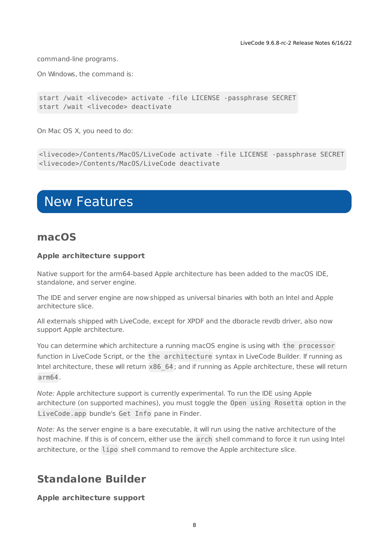command-line programs.

On Windows, the command is:

```
start /wait <livecode> activate -file LICENSE -passphrase SECRET
start /wait <livecode> deactivate
```
On Mac OS X, you need to do:

```
<livecode>/Contents/MacOS/LiveCode activate -file LICENSE -passphrase SECRET
<livecode>/Contents/MacOS/LiveCode deactivate
```
## <span id="page-7-0"></span>New Features

#### **macOS**

#### **Apple architecture support**

Native support for the arm64-based Apple architecture has been added to the macOS IDE, standalone, and server engine.

The IDE and server engine are now shipped as universal binaries with both an Intel and Apple architecture slice.

All externals shipped with LiveCode, except for XPDF and the dboracle revdb driver, also now support Apple architecture.

You can determine which architecture a running macOS engine is using with the processor function in LiveCode Script, or the the architecture syntax in LiveCode Builder. If running as Intel architecture, these will return  $x86\;64$ ; and if running as Apple architecture, these will return arm64 .

Note: Apple architecture support is currently experimental. To run the IDE using Apple architecture (on supported machines), you must toggle the Open using Rosetta option in the LiveCode.app bundle's Get Info pane in Finder.

Note: As the server engine is a bare executable, it will run using the native architecture of the host machine. If this is of concern, either use the arch shell command to force it run using Intel architecture, or the lipo shell command to remove the Apple architecture slice.

#### <span id="page-7-1"></span>**Standalone Builder**

**Apple architecture support**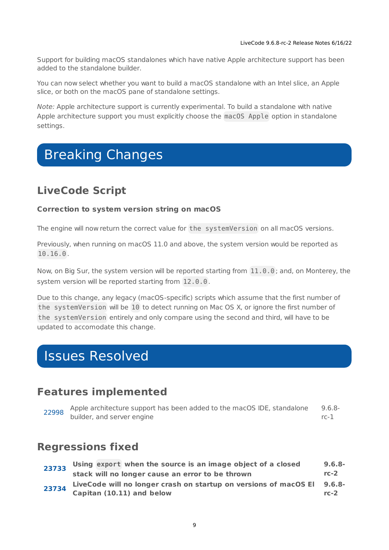Support for building macOS standalones which have native Apple architecture support has been added to the standalone builder.

You can now select whether you want to build a macOS standalone with an Intel slice, an Apple slice, or both on the macOS pane of standalone settings.

Note: Apple architecture support is currently experimental. To build a standalone with native Apple architecture support you must explicitly choose the macOS Apple option in standalone settings.

# <span id="page-8-0"></span>Breaking Changes

## <span id="page-8-1"></span>**LiveCode Script**

#### **Correction to system version string on macOS**

The engine will now return the correct value for the systemVersion on all macOS versions.

Previously, when running on macOS 11.0 and above, the system version would be reported as 10.16.0 .

Now, on Big Sur, the system version will be reported starting from 11.0.0 ; and, on Monterey, the system version will be reported starting from 12.0.0.

Due to this change, any legacy (macOS-specific) scripts which assume that the first number of the systemVersion will be 10 to detect running on Mac OS X, or ignore the first number of the systemVersion entirely and only compare using the second and third, will have to be updated to accomodate this change.

## <span id="page-8-2"></span>Issues Resolved

#### <span id="page-8-3"></span>**Features implemented**

|  | Apple architecture support has been added to the macOS IDE, standalone<br>$9.6.8-$ |      |  |  |  |
|--|------------------------------------------------------------------------------------|------|--|--|--|
|  | Apple architecture<br>builder, and server engine                                   | rc-1 |  |  |  |

#### <span id="page-8-4"></span>**Regressions fixed**

| 23733 |  | Using export when the source is an image object of a closed             | $9.6.8-$ |
|-------|--|-------------------------------------------------------------------------|----------|
|       |  | stack will no longer cause an error to be thrown                        | $rc-2$   |
| 23734 |  | LiveCode will no longer crash on startup on versions of macOS El 9.6.8- |          |
|       |  | Capitan (10.11) and below                                               | $rc-2$   |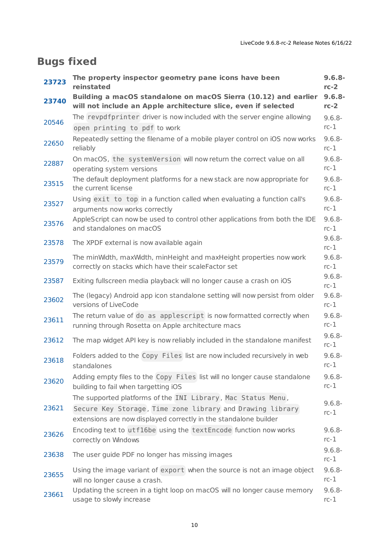## <span id="page-9-0"></span>**Bugs fixed**

| 23723 | The property inspector geometry pane icons have been<br>reinstated                                                                                                                            | $9.6.8 -$<br>$rc-2$ |
|-------|-----------------------------------------------------------------------------------------------------------------------------------------------------------------------------------------------|---------------------|
| 23740 | Building a macOS standalone on macOS Sierra (10.12) and earlier<br>will not include an Apple architecture slice, even if selected                                                             | $9.6.8 -$<br>$rc-2$ |
| 20546 | The revpdfprinter driver is now included with the server engine allowing<br>open printing to pdf to work                                                                                      | $9.6.8 -$<br>$rc-1$ |
| 22650 | Repeatedly setting the filename of a mobile player control on iOS now works<br>reliably                                                                                                       | $9.6.8 -$<br>$rc-1$ |
| 22887 | On macOS, the systemVersion will now return the correct value on all<br>operating system versions                                                                                             | $9.6.8 -$<br>$rc-1$ |
| 23515 | The default deployment platforms for a new stack are now appropriate for<br>the current license                                                                                               | $9.6.8 -$<br>$rc-1$ |
| 23527 | Using exit to top in a function called when evaluating a function call's<br>arguments now works correctly                                                                                     | $9.6.8 -$<br>$rc-1$ |
| 23576 | AppleScript can now be used to control other applications from both the IDE<br>and standalones on macOS                                                                                       | $9.6.8 -$<br>$rc-1$ |
| 23578 | The XPDF external is now available again                                                                                                                                                      | $9.6.8 -$<br>$rc-1$ |
| 23579 | The minWidth, maxWidth, minHeight and maxHeight properties now work<br>correctly on stacks which have their scaleFactor set                                                                   | $9.6.8 -$<br>$rc-1$ |
| 23587 | Exiting fullscreen media playback will no longer cause a crash on iOS                                                                                                                         | $9.6.8 -$<br>$rc-1$ |
| 23602 | The (legacy) Android app icon standalone setting will now persist from older<br>versions of LiveCode                                                                                          | $9.6.8 -$<br>$rc-1$ |
| 23611 | The return value of do as applescript is now formatted correctly when<br>running through Rosetta on Apple architecture macs                                                                   | $9.6.8 -$<br>$rc-1$ |
| 23612 | The map widget API key is now reliably included in the standalone manifest                                                                                                                    | $9.6.8 -$<br>$rc-1$ |
| 23618 | Folders added to the Copy Files list are now included recursively in web<br>standalones                                                                                                       | $9.6.8 -$<br>$rc-1$ |
| 23620 | Adding empty files to the Copy Files list will no longer cause standalone<br>building to fail when targetting iOS                                                                             | $9.6.8 -$<br>$rc-1$ |
| 23621 | The supported platforms of the INI Library, Mac Status Menu,<br>Secure Key Storage, Time zone library and Drawing library<br>extensions are now displayed correctly in the standalone builder | $9.6.8 -$<br>$rc-1$ |
| 23626 | Encoding text to utf16be using the textEncode function now works<br>correctly on Windows                                                                                                      | $9.6.8 -$<br>$rc-1$ |
| 23638 | The user guide PDF no longer has missing images                                                                                                                                               | $9.6.8 -$<br>$rc-1$ |
| 23655 | Using the image variant of export when the source is not an image object<br>will no longer cause a crash.                                                                                     | $9.6.8 -$<br>$rc-1$ |
| 23661 | Updating the screen in a tight loop on macOS will no longer cause memory<br>usage to slowly increase                                                                                          | $9.6.8 -$<br>$rc-1$ |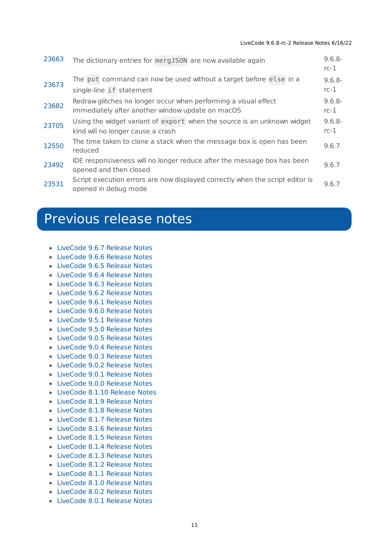| 23663 | The dictionary entries for mergJS0N are now available again                                                         | $9.6.8 -$<br>$rc-1$ |
|-------|---------------------------------------------------------------------------------------------------------------------|---------------------|
| 23673 | The put command can now be used without a target before else in a                                                   | $9.6.8 -$           |
|       | single-line if statement                                                                                            | $rc-1$              |
| 23682 | Redraw glitches no longer occur when performing a visual effect<br>immediately after another window update on macOS | $9.6.8 -$<br>$rc-1$ |
| 23705 | Using the widget variant of export when the source is an unknown widget                                             | $9.6.8 -$           |
|       | kind will no longer cause a crash                                                                                   | $rc-1$              |
| 12550 | The time taken to clone a stack when the message box is open has been<br>reduced                                    | 9.6.7               |
| 23492 | IDE responsiveness will no longer reduce after the message box has been<br>opened and then closed                   | 9.6.7               |
| 23531 | Script execution errors are now displayed correctly when the script editor is<br>opened in debug mode               | 9.6.7               |

# <span id="page-10-0"></span>Previous release notes

- [LiveCode](https://downloads.livecode.com/livecode/9_6_7/LiveCodeNotes-9_6_7.pdf) 9.6.7 Release Notes
- [LiveCode](https://downloads.livecode.com/livecode/9_6_6/LiveCodeNotes-9_6_6.pdf) 9.6.6 Release Notes
- [LiveCode](https://downloads.livecode.com/livecode/9_6_5/LiveCodeNotes-9_6_5.pdf) 9.6.5 Release Notes
- [LiveCode](https://downloads.livecode.com/livecode/9_6_4/LiveCodeNotes-9_6_4.pdf) 9.6.4 Release Notes
- [LiveCode](https://downloads.livecode.com/livecode/9_6_3/LiveCodeNotes-9_6_3.pdf) 9.6.3 Release Notes
- [LiveCode](https://downloads.livecode.com/livecode/9_6_2/LiveCodeNotes-9_6_2.pdf) 9.6.2 Release Notes
- [LiveCode](https://downloads.livecode.com/livecode/9_6_1/LiveCodeNotes-9_6_1.pdf) 9.6.1 Release Notes
- [LiveCode](https://downloads.livecode.com/livecode/9_6_0/LiveCodeNotes-9_6_0.pdf) 9.6.0 Release Notes
- [LiveCode](https://downloads.livecode.com/livecode/9_5_1/LiveCodeNotes-9_5_1.pdf) 9.5.1 Release Notes
- [LiveCode](https://downloads.livecode.com/livecode/9_5_0/LiveCodeNotes-9_5_0.pdf) 9.5.0 Release Notes
- [LiveCode](https://downloads.livecode.com/livecode/9_0_5/LiveCodeNotes-9_0_5.pdf) 9.0.5 Release Notes
- [LiveCode](https://downloads.livecode.com/livecode/9_0_4/LiveCodeNotes-9_0_4.pdf) 9.0.4 Release Notes
- [LiveCode](https://downloads.livecode.com/livecode/9_0_3/LiveCodeNotes-9_0_3.pdf) 9.0.3 Release Notes
- [LiveCode](https://downloads.livecode.com/livecode/9_0_2/LiveCodeNotes-9_0_2.pdf) 9.0.2 Release Notes
- [LiveCode](https://downloads.livecode.com/livecode/9_0_1/LiveCodeNotes-9_0_1.pdf) 9.0.1 Release Notes
- [LiveCode](https://downloads.livecode.com/livecode/9_0_0/LiveCodeNotes-9_0_0.pdf) 9.0.0 Release Notes
- [LiveCode](https://downloads.livecode.com/livecode/8_1_10/LiveCodeNotes-8_1_10.pdf) 8.1.10 Release Notes
- [LiveCode](https://downloads.livecode.com/livecode/8_1_9/LiveCodeNotes-8_1_9.pdf) 8.1.9 Release Notes
- [LiveCode](https://downloads.livecode.com/livecode/8_1_8/LiveCodeNotes-8_1_8.pdf) 8.1.8 Release Notes
- [LiveCode](https://downloads.livecode.com/livecode/8_1_7/LiveCodeNotes-8_1_7.pdf) 8.1.7 Release Notes
- [LiveCode](https://downloads.livecode.com/livecode/8_1_6/LiveCodeNotes-8_1_6.pdf) 8.1.6 Release Notes
- [LiveCode](https://downloads.livecode.com/livecode/8_1_5/LiveCodeNotes-8_1_5.pdf) 8.1.5 Release Notes
- [LiveCode](https://downloads.livecode.com/livecode/8_1_4/LiveCodeNotes-8_1_4.pdf) 8.1.4 Release Notes
- [LiveCode](https://downloads.livecode.com/livecode/8_1_3/LiveCodeNotes-8_1_3.pdf) 8.1.3 Release Notes
- [LiveCode](https://downloads.livecode.com/livecode/8_1_2/LiveCodeNotes-8_1_2.pdf) 8.1.2 Release Notes
- [LiveCode](https://downloads.livecode.com/livecode/8_1_1/LiveCodeNotes-8_1_1.pdf) 8.1.1 Release Notes
- [LiveCode](https://downloads.livecode.com/livecode/8_1_0/LiveCodeNotes-8_1_0.pdf) 8.1.0 Release Notes
- [LiveCode](https://downloads.livecode.com/livecode/8_0_2/LiveCodeNotes-8_0_2.pdf) 8.0.2 Release Notes
- [LiveCode](https://downloads.livecode.com/livecode/8_0_1/LiveCodeNotes-8_0_1.pdf) 8.0.1 Release Notes